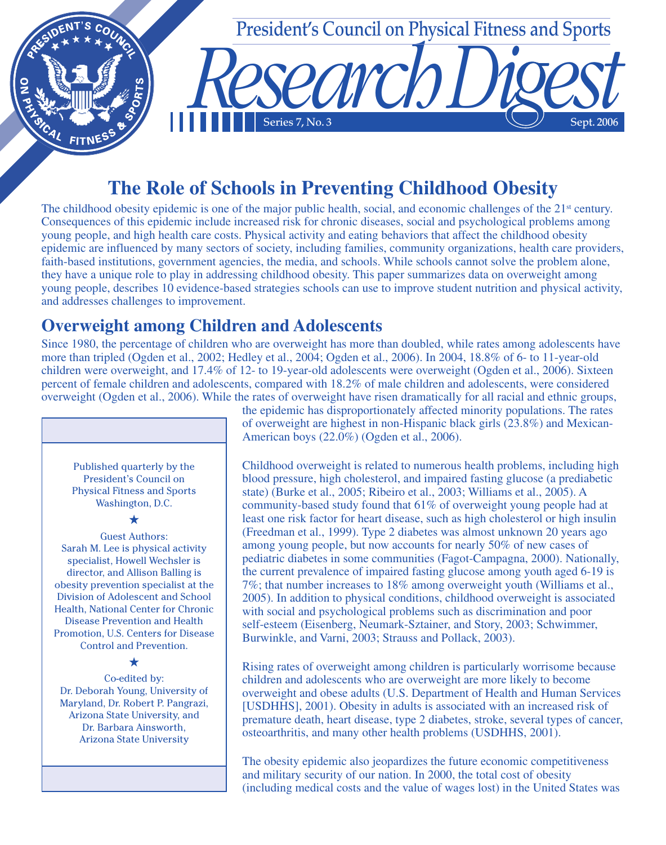

# **The Role of Schools in Preventing Childhood Obesity**

The childhood obesity epidemic is one of the major public health, social, and economic challenges of the  $21<sup>st</sup>$  century. Consequences of this epidemic include increased risk for chronic diseases, social and psychological problems among young people, and high health care costs. Physical activity and eating behaviors that affect the childhood obesity epidemic are influenced by many sectors of society, including families, community organizations, health care providers, faith-based institutions, government agencies, the media, and schools. While schools cannot solve the problem alone, they have a unique role to play in addressing childhood obesity. This paper summarizes data on overweight among young people, describes 10 evidence-based strategies schools can use to improve student nutrition and physical activity, and addresses challenges to improvement.

## **Overweight among Children and Adolescents**

Since 1980, the percentage of children who are overweight has more than doubled, while rates among adolescents have more than tripled (Ogden et al., 2002; Hedley et al., 2004; Ogden et al., 2006). In 2004, 18.8% of 6- to 11-year-old children were overweight, and 17.4% of 12- to 19-year-old adolescents were overweight (Ogden et al., 2006). Sixteen percent of female children and adolescents, compared with 18.2% of male children and adolescents, were considered overweight (Ogden et al., 2006). While the rates of overweight have risen dramatically for all racial and ethnic groups,

Published quarterly by the President's Council on Physical Fitness and Sports Washington, D.C.

**★**

Guest Authors: Sarah M. Lee is physical activity specialist, Howell Wechsler is director, and Allison Balling is obesity prevention specialist at the Division of Adolescent and School Health, National Center for Chronic Disease Prevention and Health Promotion, U.S. Centers for Disease Control and Prevention.

#### **★**

Co-edited by: Dr. Deborah Young, University of Maryland, Dr. Robert P. Pangrazi, Arizona State University, and Dr. Barbara Ainsworth, Arizona State University

the epidemic has disproportionately affected minority populations. The rates of overweight are highest in non-Hispanic black girls (23.8%) and Mexican-American boys (22.0%) (Ogden et al., 2006).

Childhood overweight is related to numerous health problems, including high blood pressure, high cholesterol, and impaired fasting glucose (a prediabetic state) (Burke et al., 2005; Ribeiro et al., 2003; Williams et al., 2005). A community-based study found that 61% of overweight young people had at least one risk factor for heart disease, such as high cholesterol or high insulin (Freedman et al., 1999). Type 2 diabetes was almost unknown 20 years ago among young people, but now accounts for nearly 50% of new cases of pediatric diabetes in some communities (Fagot-Campagna, 2000). Nationally, the current prevalence of impaired fasting glucose among youth aged 6-19 is 7%; that number increases to 18% among overweight youth (Williams et al., 2005). In addition to physical conditions, childhood overweight is associated with social and psychological problems such as discrimination and poor self-esteem (Eisenberg, Neumark-Sztainer, and Story, 2003; Schwimmer, Burwinkle, and Varni, 2003; Strauss and Pollack, 2003).

Rising rates of overweight among children is particularly worrisome because children and adolescents who are overweight are more likely to become overweight and obese adults (U.S. Department of Health and Human Services [USDHHS], 2001). Obesity in adults is associated with an increased risk of premature death, heart disease, type 2 diabetes, stroke, several types of cancer, osteoarthritis, and many other health problems (USDHHS, 2001).

The obesity epidemic also jeopardizes the future economic competitiveness and military security of our nation. In 2000, the total cost of obesity (including medical costs and the value of wages lost) in the United States was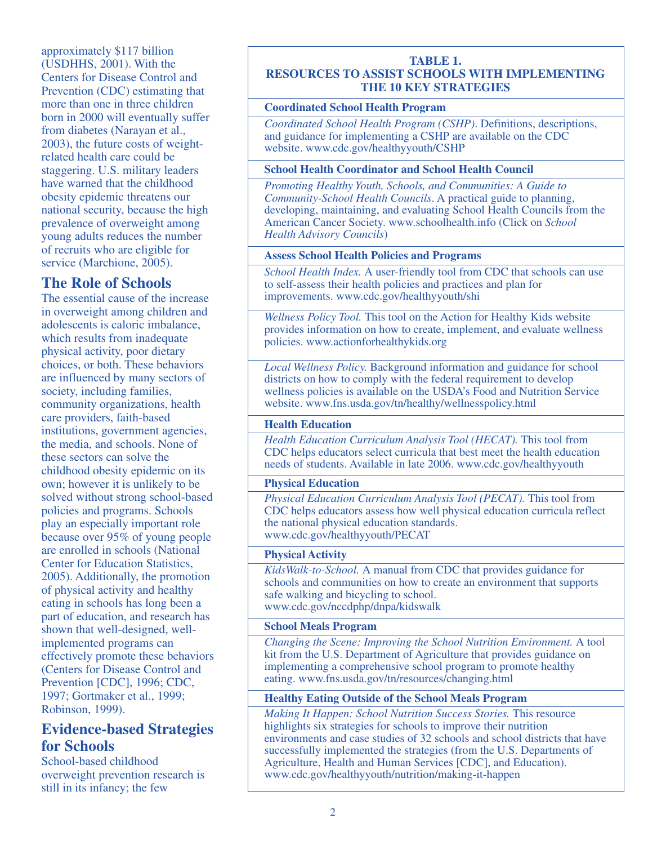approximately \$117 billion (USDHHS, 2001). With the Centers for Disease Control and Prevention (CDC) estimating that more than one in three children born in 2000 will eventually suffer from diabetes (Narayan et al., 2003), the future costs of weightrelated health care could be staggering. U.S. military leaders have warned that the childhood obesity epidemic threatens our national security, because the high prevalence of overweight among young adults reduces the number of recruits who are eligible for service (Marchione, 2005).

## **The Role of Schools**

The essential cause of the increase in overweight among children and adolescents is caloric imbalance, which results from inadequate physical activity, poor dietary choices, or both. These behaviors are influenced by many sectors of society, including families, community organizations, health care providers, faith-based institutions, government agencies, the media, and schools. None of these sectors can solve the childhood obesity epidemic on its own; however it is unlikely to be solved without strong school-based policies and programs. Schools play an especially important role because over 95% of young people are enrolled in schools (National Center for Education Statistics, 2005). Additionally, the promotion of physical activity and healthy eating in schools has long been a part of education, and research has shown that well-designed, wellimplemented programs can effectively promote these behaviors (Centers for Disease Control and Prevention [CDC], 1996; CDC, 1997; Gortmaker et al., 1999; Robinson, 1999).

## **Evidence-based Strategies for Schools**

School-based childhood overweight prevention research is still in its infancy; the few

#### **TABLE 1. RESOURCES TO ASSIST SCHOOLS WITH IMPLEMENTING THE 10 KEY STRATEGIES**

#### **Coordinated School Health Program**

*Coordinated School Health Program (CSHP)*. Definitions, descriptions, and guidance for implementing a CSHP are available on the CDC website. www.cdc.gov/healthyyouth/CSHP

#### **School Health Coordinator and School Health Council**

*Promoting Healthy Youth, Schools, and Communities: A Guide to Community-School Health Councils*. A practical guide to planning, developing, maintaining, and evaluating School Health Councils from the American Cancer Society. www.schoolhealth.info (Click on *School Health Advisory Councils*)

#### **Assess School Health Policies and Programs**

*School Health Index.* A user-friendly tool from CDC that schools can use to self-assess their health policies and practices and plan for improvements. www.cdc.gov/healthyyouth/shi

*Wellness Policy Tool.* This tool on the Action for Healthy Kids website provides information on how to create, implement, and evaluate wellness policies. www.actionforhealthykids.org

*Local Wellness Policy.* Background information and guidance for school districts on how to comply with the federal requirement to develop wellness policies is available on the USDA's Food and Nutrition Service website. www.fns.usda.gov/tn/healthy/wellnesspolicy.html

#### **Health Education**

*Health Education Curriculum Analysis Tool (HECAT).* This tool from CDC helps educators select curricula that best meet the health education needs of students. Available in late 2006. www.cdc.gov/healthyyouth

#### **Physical Education**

*Physical Education Curriculum Analysis Tool (PECAT).* This tool from CDC helps educators assess how well physical education curricula reflect the national physical education standards. www.cdc.gov/healthyyouth/PECAT

#### **Physical Activity**

*KidsWalk-to-School.* A manual from CDC that provides guidance for schools and communities on how to create an environment that supports safe walking and bicycling to school. www.cdc.gov/nccdphp/dnpa/kidswalk

#### **School Meals Program**

*Changing the Scene: Improving the School Nutrition Environment.* A tool kit from the U.S. Department of Agriculture that provides guidance on implementing a comprehensive school program to promote healthy eating. www.fns.usda.gov/tn/resources/changing.html

#### **Healthy Eating Outside of the School Meals Program**

*Making It Happen: School Nutrition Success Stories.* This resource highlights six strategies for schools to improve their nutrition environments and case studies of 32 schools and school districts that have successfully implemented the strategies (from the U.S. Departments of Agriculture, Health and Human Services [CDC], and Education). www.cdc.gov/healthyyouth/nutrition/making-it-happen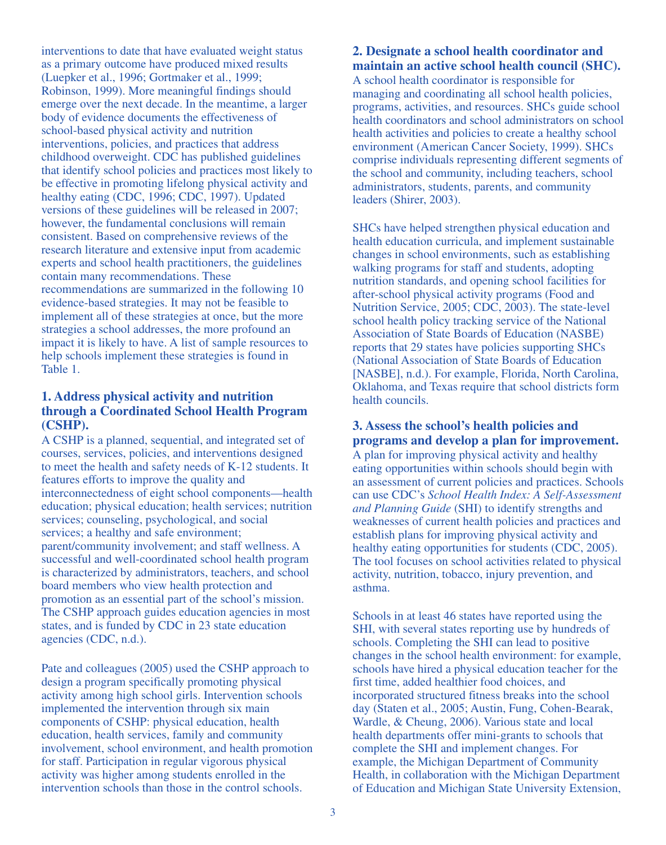interventions to date that have evaluated weight status as a primary outcome have produced mixed results (Luepker et al., 1996; Gortmaker et al., 1999; Robinson, 1999). More meaningful findings should emerge over the next decade. In the meantime, a larger body of evidence documents the effectiveness of school-based physical activity and nutrition interventions, policies, and practices that address childhood overweight. CDC has published guidelines that identify school policies and practices most likely to be effective in promoting lifelong physical activity and healthy eating (CDC, 1996; CDC, 1997). Updated versions of these guidelines will be released in 2007; however, the fundamental conclusions will remain consistent. Based on comprehensive reviews of the research literature and extensive input from academic experts and school health practitioners, the guidelines contain many recommendations. These recommendations are summarized in the following 10 evidence-based strategies. It may not be feasible to implement all of these strategies at once, but the more strategies a school addresses, the more profound an impact it is likely to have. A list of sample resources to help schools implement these strategies is found in Table 1.

#### **1. Address physical activity and nutrition through a Coordinated School Health Program (CSHP).**

A CSHP is a planned, sequential, and integrated set of courses, services, policies, and interventions designed to meet the health and safety needs of K-12 students. It features efforts to improve the quality and interconnectedness of eight school components—health education; physical education; health services; nutrition services; counseling, psychological, and social services; a healthy and safe environment; parent/community involvement; and staff wellness. A successful and well-coordinated school health program is characterized by administrators, teachers, and school board members who view health protection and promotion as an essential part of the school's mission. The CSHP approach guides education agencies in most states, and is funded by CDC in 23 state education agencies (CDC, n.d.).

Pate and colleagues (2005) used the CSHP approach to design a program specifically promoting physical activity among high school girls. Intervention schools implemented the intervention through six main components of CSHP: physical education, health education, health services, family and community involvement, school environment, and health promotion for staff. Participation in regular vigorous physical activity was higher among students enrolled in the intervention schools than those in the control schools.

#### **2. Designate a school health coordinator and maintain an active school health council (SHC).**

A school health coordinator is responsible for managing and coordinating all school health policies, programs, activities, and resources. SHCs guide school health coordinators and school administrators on school health activities and policies to create a healthy school environment (American Cancer Society, 1999). SHCs comprise individuals representing different segments of the school and community, including teachers, school administrators, students, parents, and community leaders (Shirer, 2003).

SHCs have helped strengthen physical education and health education curricula, and implement sustainable changes in school environments, such as establishing walking programs for staff and students, adopting nutrition standards, and opening school facilities for after-school physical activity programs (Food and Nutrition Service, 2005; CDC, 2003). The state-level school health policy tracking service of the National Association of State Boards of Education (NASBE) reports that 29 states have policies supporting SHCs (National Association of State Boards of Education [NASBE], n.d.). For example, Florida, North Carolina, Oklahoma, and Texas require that school districts form health councils.

### **3. Assess the school's health policies and programs and develop a plan for improvement.**

A plan for improving physical activity and healthy eating opportunities within schools should begin with an assessment of current policies and practices. Schools can use CDC's *School Health Index: A Self-Assessment and Planning Guide* (SHI) to identify strengths and weaknesses of current health policies and practices and establish plans for improving physical activity and healthy eating opportunities for students (CDC, 2005). The tool focuses on school activities related to physical activity, nutrition, tobacco, injury prevention, and asthma.

Schools in at least 46 states have reported using the SHI, with several states reporting use by hundreds of schools. Completing the SHI can lead to positive changes in the school health environment: for example, schools have hired a physical education teacher for the first time, added healthier food choices, and incorporated structured fitness breaks into the school day (Staten et al., 2005; Austin, Fung, Cohen-Bearak, Wardle, & Cheung, 2006). Various state and local health departments offer mini-grants to schools that complete the SHI and implement changes. For example, the Michigan Department of Community Health, in collaboration with the Michigan Department of Education and Michigan State University Extension,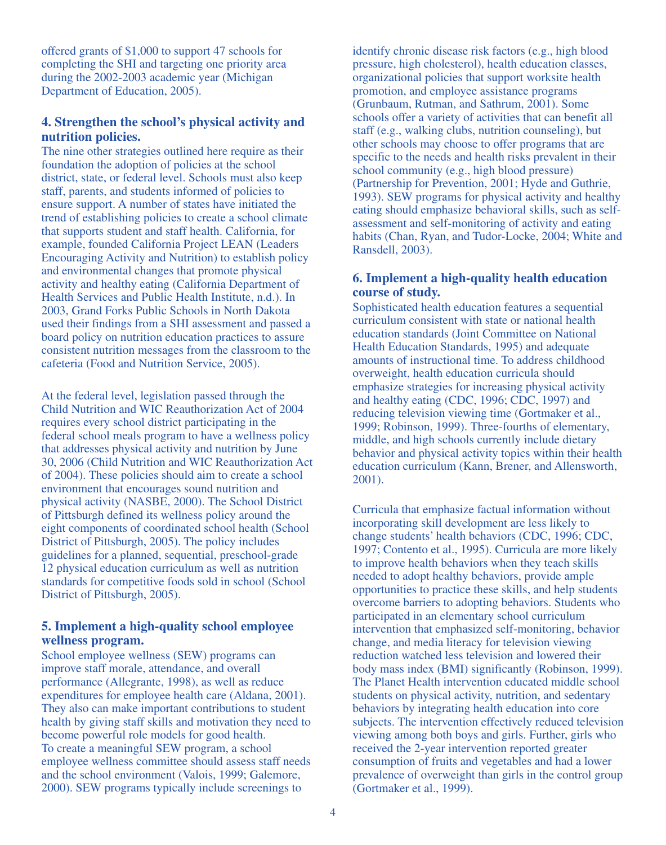offered grants of \$1,000 to support 47 schools for completing the SHI and targeting one priority area during the 2002-2003 academic year (Michigan Department of Education, 2005).

#### **4. Strengthen the school's physical activity and nutrition policies.**

The nine other strategies outlined here require as their foundation the adoption of policies at the school district, state, or federal level. Schools must also keep staff, parents, and students informed of policies to ensure support. A number of states have initiated the trend of establishing policies to create a school climate that supports student and staff health. California, for example, founded California Project LEAN (Leaders Encouraging Activity and Nutrition) to establish policy and environmental changes that promote physical activity and healthy eating (California Department of Health Services and Public Health Institute, n.d.). In 2003, Grand Forks Public Schools in North Dakota used their findings from a SHI assessment and passed a board policy on nutrition education practices to assure consistent nutrition messages from the classroom to the cafeteria (Food and Nutrition Service, 2005).

At the federal level, legislation passed through the Child Nutrition and WIC Reauthorization Act of 2004 requires every school district participating in the federal school meals program to have a wellness policy that addresses physical activity and nutrition by June 30, 2006 (Child Nutrition and WIC Reauthorization Act of 2004). These policies should aim to create a school environment that encourages sound nutrition and physical activity (NASBE, 2000). The School District of Pittsburgh defined its wellness policy around the eight components of coordinated school health (School District of Pittsburgh, 2005). The policy includes guidelines for a planned, sequential, preschool-grade 12 physical education curriculum as well as nutrition standards for competitive foods sold in school (School District of Pittsburgh, 2005).

#### **5. Implement a high-quality school employee wellness program.**

School employee wellness (SEW) programs can improve staff morale, attendance, and overall performance (Allegrante, 1998), as well as reduce expenditures for employee health care (Aldana, 2001). They also can make important contributions to student health by giving staff skills and motivation they need to become powerful role models for good health. To create a meaningful SEW program, a school employee wellness committee should assess staff needs and the school environment (Valois, 1999; Galemore, 2000). SEW programs typically include screenings to

identify chronic disease risk factors (e.g., high blood pressure, high cholesterol), health education classes, organizational policies that support worksite health promotion, and employee assistance programs (Grunbaum, Rutman, and Sathrum, 2001). Some schools offer a variety of activities that can benefit all staff (e.g., walking clubs, nutrition counseling), but other schools may choose to offer programs that are specific to the needs and health risks prevalent in their school community (e.g., high blood pressure) (Partnership for Prevention, 2001; Hyde and Guthrie, 1993). SEW programs for physical activity and healthy eating should emphasize behavioral skills, such as selfassessment and self-monitoring of activity and eating habits (Chan, Ryan, and Tudor-Locke, 2004; White and Ransdell, 2003).

#### **6. Implement a high-quality health education course of study.**

Sophisticated health education features a sequential curriculum consistent with state or national health education standards (Joint Committee on National Health Education Standards, 1995) and adequate amounts of instructional time. To address childhood overweight, health education curricula should emphasize strategies for increasing physical activity and healthy eating (CDC, 1996; CDC, 1997) and reducing television viewing time (Gortmaker et al., 1999; Robinson, 1999). Three-fourths of elementary, middle, and high schools currently include dietary behavior and physical activity topics within their health education curriculum (Kann, Brener, and Allensworth, 2001).

Curricula that emphasize factual information without incorporating skill development are less likely to change students' health behaviors (CDC, 1996; CDC, 1997; Contento et al., 1995). Curricula are more likely to improve health behaviors when they teach skills needed to adopt healthy behaviors, provide ample opportunities to practice these skills, and help students overcome barriers to adopting behaviors. Students who participated in an elementary school curriculum intervention that emphasized self-monitoring, behavior change, and media literacy for television viewing reduction watched less television and lowered their body mass index (BMI) significantly (Robinson, 1999). The Planet Health intervention educated middle school students on physical activity, nutrition, and sedentary behaviors by integrating health education into core subjects. The intervention effectively reduced television viewing among both boys and girls. Further, girls who received the 2-year intervention reported greater consumption of fruits and vegetables and had a lower prevalence of overweight than girls in the control group (Gortmaker et al., 1999).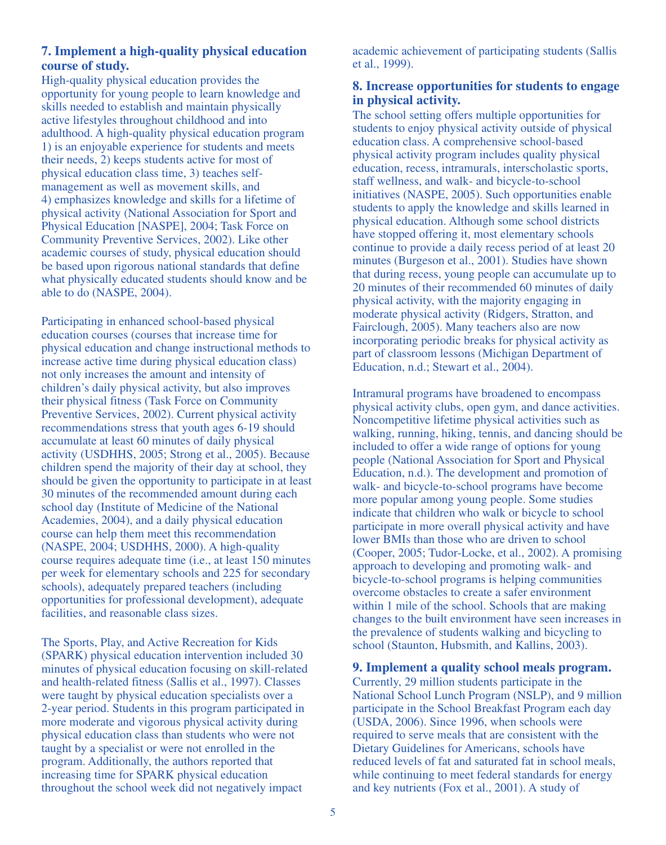#### **7. Implement a high-quality physical education course of study.**

High-quality physical education provides the opportunity for young people to learn knowledge and skills needed to establish and maintain physically active lifestyles throughout childhood and into adulthood. A high-quality physical education program 1) is an enjoyable experience for students and meets their needs, 2) keeps students active for most of physical education class time, 3) teaches selfmanagement as well as movement skills, and 4) emphasizes knowledge and skills for a lifetime of physical activity (National Association for Sport and Physical Education [NASPE], 2004; Task Force on Community Preventive Services, 2002). Like other academic courses of study, physical education should be based upon rigorous national standards that define what physically educated students should know and be able to do (NASPE, 2004).

Participating in enhanced school-based physical education courses (courses that increase time for physical education and change instructional methods to increase active time during physical education class) not only increases the amount and intensity of children's daily physical activity, but also improves their physical fitness (Task Force on Community Preventive Services, 2002). Current physical activity recommendations stress that youth ages 6-19 should accumulate at least 60 minutes of daily physical activity (USDHHS, 2005; Strong et al., 2005). Because children spend the majority of their day at school, they should be given the opportunity to participate in at least 30 minutes of the recommended amount during each school day (Institute of Medicine of the National Academies, 2004), and a daily physical education course can help them meet this recommendation (NASPE, 2004; USDHHS, 2000). A high-quality course requires adequate time (i.e., at least 150 minutes per week for elementary schools and 225 for secondary schools), adequately prepared teachers (including opportunities for professional development), adequate facilities, and reasonable class sizes.

The Sports, Play, and Active Recreation for Kids (SPARK) physical education intervention included 30 minutes of physical education focusing on skill-related and health-related fitness (Sallis et al., 1997). Classes were taught by physical education specialists over a 2-year period. Students in this program participated in more moderate and vigorous physical activity during physical education class than students who were not taught by a specialist or were not enrolled in the program. Additionally, the authors reported that increasing time for SPARK physical education throughout the school week did not negatively impact

academic achievement of participating students (Sallis et al., 1999).

#### **8. Increase opportunities for students to engage in physical activity.**

The school setting offers multiple opportunities for students to enjoy physical activity outside of physical education class. A comprehensive school-based physical activity program includes quality physical education, recess, intramurals, interscholastic sports, staff wellness, and walk- and bicycle-to-school initiatives (NASPE, 2005). Such opportunities enable students to apply the knowledge and skills learned in physical education. Although some school districts have stopped offering it, most elementary schools continue to provide a daily recess period of at least 20 minutes (Burgeson et al., 2001). Studies have shown that during recess, young people can accumulate up to 20 minutes of their recommended 60 minutes of daily physical activity, with the majority engaging in moderate physical activity (Ridgers, Stratton, and Fairclough, 2005). Many teachers also are now incorporating periodic breaks for physical activity as part of classroom lessons (Michigan Department of Education, n.d.; Stewart et al., 2004).

Intramural programs have broadened to encompass physical activity clubs, open gym, and dance activities. Noncompetitive lifetime physical activities such as walking, running, hiking, tennis, and dancing should be included to offer a wide range of options for young people (National Association for Sport and Physical Education, n.d.). The development and promotion of walk- and bicycle-to-school programs have become more popular among young people. Some studies indicate that children who walk or bicycle to school participate in more overall physical activity and have lower BMIs than those who are driven to school (Cooper, 2005; Tudor-Locke, et al., 2002). A promising approach to developing and promoting walk- and bicycle-to-school programs is helping communities overcome obstacles to create a safer environment within 1 mile of the school. Schools that are making changes to the built environment have seen increases in the prevalence of students walking and bicycling to school (Staunton, Hubsmith, and Kallins, 2003).

**9. Implement a quality school meals program.**  Currently, 29 million students participate in the National School Lunch Program (NSLP), and 9 million participate in the School Breakfast Program each day (USDA, 2006). Since 1996, when schools were required to serve meals that are consistent with the Dietary Guidelines for Americans, schools have reduced levels of fat and saturated fat in school meals, while continuing to meet federal standards for energy and key nutrients (Fox et al., 2001). A study of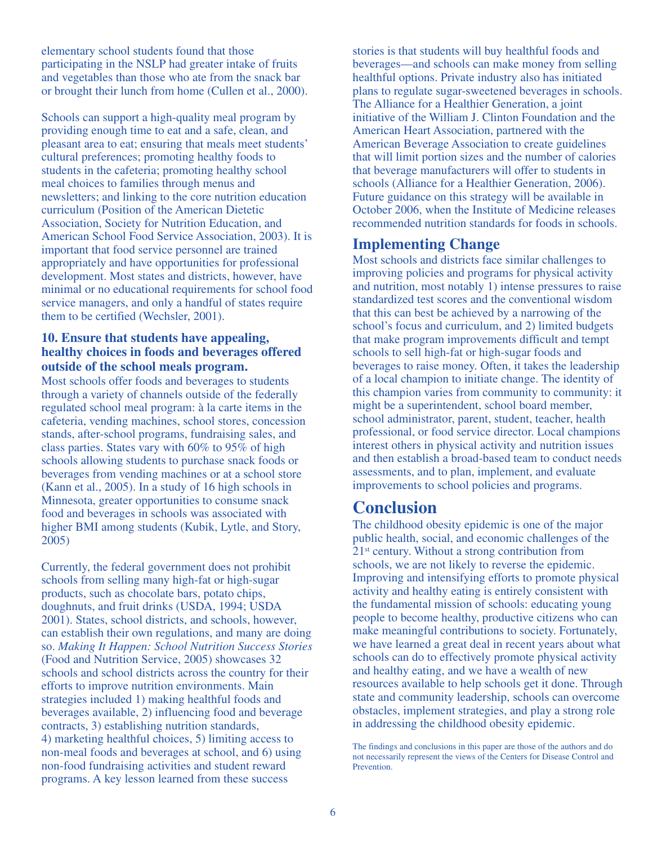elementary school students found that those participating in the NSLP had greater intake of fruits and vegetables than those who ate from the snack bar or brought their lunch from home (Cullen et al., 2000).

Schools can support a high-quality meal program by providing enough time to eat and a safe, clean, and pleasant area to eat; ensuring that meals meet students' cultural preferences; promoting healthy foods to students in the cafeteria; promoting healthy school meal choices to families through menus and newsletters; and linking to the core nutrition education curriculum (Position of the American Dietetic Association, Society for Nutrition Education, and American School Food Service Association, 2003). It is important that food service personnel are trained appropriately and have opportunities for professional development. Most states and districts, however, have minimal or no educational requirements for school food service managers, and only a handful of states require them to be certified (Wechsler, 2001).

#### **10. Ensure that students have appealing, healthy choices in foods and beverages offered outside of the school meals program.**

Most schools offer foods and beverages to students through a variety of channels outside of the federally regulated school meal program: à la carte items in the cafeteria, vending machines, school stores, concession stands, after-school programs, fundraising sales, and class parties. States vary with 60% to 95% of high schools allowing students to purchase snack foods or beverages from vending machines or at a school store (Kann et al., 2005). In a study of 16 high schools in Minnesota, greater opportunities to consume snack food and beverages in schools was associated with higher BMI among students (Kubik, Lytle, and Story, 2005)

Currently, the federal government does not prohibit schools from selling many high-fat or high-sugar products, such as chocolate bars, potato chips, doughnuts, and fruit drinks (USDA, 1994; USDA 2001). States, school districts, and schools, however, can establish their own regulations, and many are doing so. *Making It Happen: School Nutrition Success Stories* (Food and Nutrition Service, 2005) showcases 32 schools and school districts across the country for their efforts to improve nutrition environments. Main strategies included 1) making healthful foods and beverages available, 2) influencing food and beverage contracts, 3) establishing nutrition standards, 4) marketing healthful choices, 5) limiting access to non-meal foods and beverages at school, and 6) using non-food fundraising activities and student reward programs. A key lesson learned from these success

stories is that students will buy healthful foods and beverages—and schools can make money from selling healthful options. Private industry also has initiated plans to regulate sugar-sweetened beverages in schools. The Alliance for a Healthier Generation, a joint initiative of the William J. Clinton Foundation and the American Heart Association, partnered with the American Beverage Association to create guidelines that will limit portion sizes and the number of calories that beverage manufacturers will offer to students in schools (Alliance for a Healthier Generation, 2006). Future guidance on this strategy will be available in October 2006, when the Institute of Medicine releases recommended nutrition standards for foods in schools.

### **Implementing Change**

Most schools and districts face similar challenges to improving policies and programs for physical activity and nutrition, most notably 1) intense pressures to raise standardized test scores and the conventional wisdom that this can best be achieved by a narrowing of the school's focus and curriculum, and 2) limited budgets that make program improvements difficult and tempt schools to sell high-fat or high-sugar foods and beverages to raise money. Often, it takes the leadership of a local champion to initiate change. The identity of this champion varies from community to community: it might be a superintendent, school board member, school administrator, parent, student, teacher, health professional, or food service director. Local champions interest others in physical activity and nutrition issues and then establish a broad-based team to conduct needs assessments, and to plan, implement, and evaluate improvements to school policies and programs.

## **Conclusion**

The childhood obesity epidemic is one of the major public health, social, and economic challenges of the 21st century. Without a strong contribution from schools, we are not likely to reverse the epidemic. Improving and intensifying efforts to promote physical activity and healthy eating is entirely consistent with the fundamental mission of schools: educating young people to become healthy, productive citizens who can make meaningful contributions to society. Fortunately, we have learned a great deal in recent years about what schools can do to effectively promote physical activity and healthy eating, and we have a wealth of new resources available to help schools get it done. Through state and community leadership, schools can overcome obstacles, implement strategies, and play a strong role in addressing the childhood obesity epidemic.

The findings and conclusions in this paper are those of the authors and do not necessarily represent the views of the Centers for Disease Control and Prevention.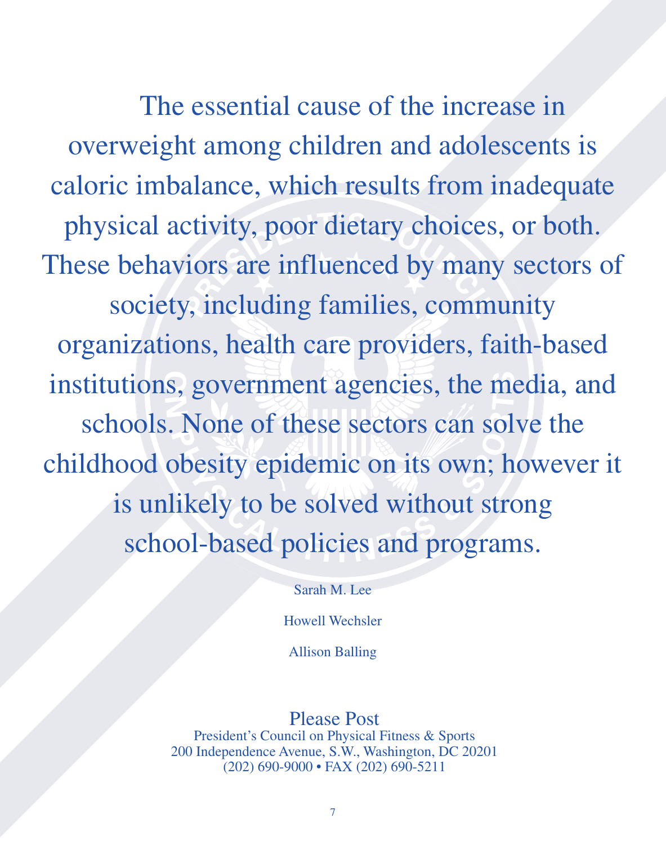The essential cause of the increase in overweight among children and adolescents is caloric imbalance, which results from inadequate physical activity, poor dietary choices, or both. These behaviors are influenced by many sectors of society, including families, community organizations, health care providers, faith-based institutions, government agencies, the media, and schools. None of these sectors can solve the childhood obesity epidemic on its own; however it is unlikely to be solved without strong school-based policies and programs.

Sarah M. Lee

Howell Wechsler

Allison Balling

## Please Post

President's Council on Physical Fitness & Sports 200 Independence Avenue, S.W., Washington, DC 20201 (202) 690-9000 • FAX (202) 690-5211